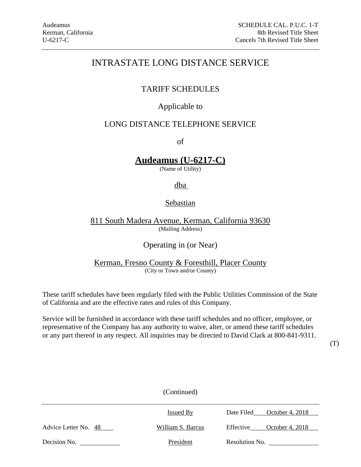# TARIFF SCHEDULES

# Applicable to

# LONG DISTANCE TELEPHONE SERVICE

of

# **Audeamus (U-6217-C)**

(Name of Utility)

# dba

# **Sebastian**

811 South Madera Avenue, Kerman, California 93630 (Mailing Address)

# Operating in (or Near)

# Kerman, Fresno County & Foresthill, Placer County (City or Town and/or County)

These tariff schedules have been regularly filed with the Public Utilities Commission of the State of California and are the effective rates and rules of this Company.

Service will be furnished in accordance with these tariff schedules and no officer, employee, or representative of the Company has any authority to waive, alter, or amend these tariff schedules or any part thereof in any respect. All inquiries may be directed to David Clark at 800-841-9311.

(T)

|                      | (Continued)       |                               |
|----------------------|-------------------|-------------------------------|
|                      | <b>Issued By</b>  | October 4, 2018<br>Date Filed |
| Advice Letter No. 48 | William S. Barcus | October 4, 2018<br>Effective  |
| Decision No.         | President         | Resolution No.                |

 $(C<sub>ontin</sub>)$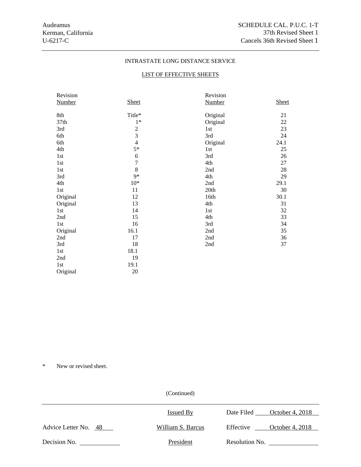# LIST OF EFFECTIVE SHEETS

| Revision      |                | Revision      |              |
|---------------|----------------|---------------|--------------|
| <b>Number</b> | <b>Sheet</b>   | <b>Number</b> | <b>Sheet</b> |
|               |                |               |              |
| 8th           | Title*         | Original      | 21           |
| 37th          | $1*$           | Original      | 22           |
| 3rd           | $\sqrt{2}$     | 1st           | 23           |
| 6th           | $\overline{3}$ | 3rd           | 24           |
| 6th           | $\overline{4}$ | Original      | 24.1         |
| 4th           | $5*$           | 1st           | 25           |
| 1st           | 6              | 3rd           | 26           |
| 1st           | $\overline{7}$ | 4th           | 27           |
| 1st           | 8              | 2nd           | 28           |
| 3rd           | $9*$           | 4th           | 29           |
| 4th           | $10*$          | 2nd           | 29.1         |
| 1st           | 11             | 20th          | 30           |
| Original      | 12             | 16th          | 30.1         |
| Original      | 13             | 4th           | 31           |
| 1st           | 14             | 1st           | 32           |
| 2nd           | 15             | 4th           | 33           |
| 1st           | 16             | 3rd           | 34           |
| Original      | 16.1           | 2nd           | 35           |
| 2nd           | 17             | 2nd           | 36           |
| 3rd           | 18             | 2nd           | 37           |
| 1st           | 18.1           |               |              |
| 2nd           | 19             |               |              |
| 1st           | 19.1           |               |              |
| Original      | 20             |               |              |

\* New or revised sheet.

|                      | Issued By         | Date Filed     | October 4, 2018 |
|----------------------|-------------------|----------------|-----------------|
| Advice Letter No. 48 | William S. Barcus | Effective      | October 4, 2018 |
| Decision No.         | President         | Resolution No. |                 |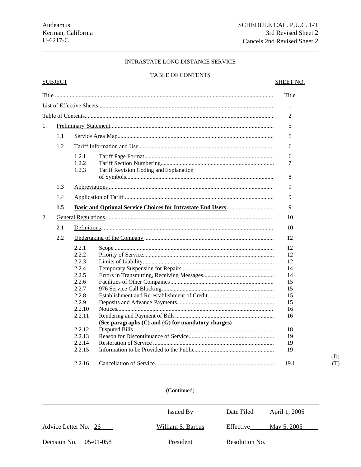**SUBJECT** 

# INTRASTATE LONG DISTANCE SERVICE

# **TABLE OF CONTENTS**

# **SHEET NO.**

 $(D)$  $(T)$ 

|    |     |                                                                                                                                           |                                                    | Title                                                                                  |
|----|-----|-------------------------------------------------------------------------------------------------------------------------------------------|----------------------------------------------------|----------------------------------------------------------------------------------------|
|    |     |                                                                                                                                           |                                                    | 1                                                                                      |
|    |     |                                                                                                                                           |                                                    | $\overline{2}$                                                                         |
| 1. |     |                                                                                                                                           |                                                    | 5                                                                                      |
|    |     |                                                                                                                                           |                                                    |                                                                                        |
|    | 1.1 |                                                                                                                                           |                                                    | 5                                                                                      |
|    | 1.2 |                                                                                                                                           |                                                    | 6                                                                                      |
|    |     | 1.2.1<br>1.2.2<br>1.2.3                                                                                                                   | Tariff Revision Coding and Explanation             | 6<br>7<br>8                                                                            |
|    | 1.3 |                                                                                                                                           |                                                    | 9                                                                                      |
|    | 1.4 |                                                                                                                                           |                                                    | 9                                                                                      |
|    | 1.5 |                                                                                                                                           |                                                    | 9                                                                                      |
| 2. |     |                                                                                                                                           |                                                    | 10                                                                                     |
|    | 2.1 |                                                                                                                                           |                                                    | 10                                                                                     |
|    | 2.2 |                                                                                                                                           |                                                    |                                                                                        |
|    |     | 2.2.1<br>2.2.2<br>2.2.3<br>2.2.4<br>2.2.5<br>2.2.6<br>2.2.7<br>2.2.8<br>2.2.9<br>2.2.10<br>2.2.11<br>2.2.12<br>2.2.13<br>2.2.14<br>2.2.15 | (See paragraphs (C) and (G) for mandatory charges) | 12<br>12<br>12<br>14<br>14<br>15<br>15<br>15<br>15<br>16<br>16<br>18<br>19<br>19<br>19 |
|    |     | 2.2.16                                                                                                                                    |                                                    | 19.1                                                                                   |

|                           | Issued By         | Date Filed<br>April 1, 2005 |
|---------------------------|-------------------|-----------------------------|
| Advice Letter No. 26      | William S. Barcus | Effective<br>May 5, 2005    |
| Decision No.<br>05-01-058 | President         | Resolution No.              |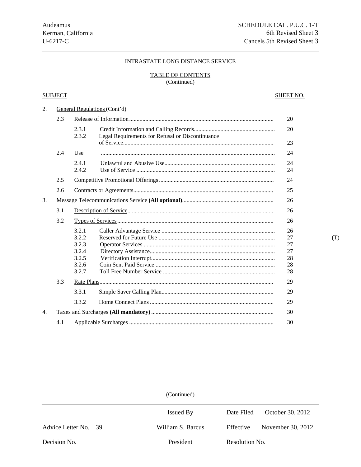# TABLE OF CONTENTS

(Continued)

# SUBJECT SUBJECT SHEET NO.

| 2. |     |                                                             | General Regulations (Cont'd)                     |                                        |
|----|-----|-------------------------------------------------------------|--------------------------------------------------|----------------------------------------|
|    | 2.3 |                                                             |                                                  | 20                                     |
|    |     | 2.3.1<br>2.3.2                                              | Legal Requirements for Refusal or Discontinuance | 20                                     |
|    |     |                                                             |                                                  | 23                                     |
|    | 2.4 | Use                                                         |                                                  | 24                                     |
|    |     | 2.4.1<br>2.4.2                                              |                                                  | 24<br>24                               |
|    | 2.5 |                                                             |                                                  | 24                                     |
|    | 2.6 |                                                             |                                                  | 25                                     |
| 3. |     |                                                             |                                                  | 26                                     |
|    | 3.1 |                                                             |                                                  | 26                                     |
|    | 3.2 |                                                             |                                                  | 26                                     |
|    |     | 3.2.1<br>3.2.2<br>3.2.3<br>3.2.4<br>3.2.5<br>3.2.6<br>3.2.7 |                                                  | 26<br>27<br>27<br>27<br>28<br>28<br>28 |
|    | 3.3 |                                                             |                                                  | 29                                     |
|    |     | 3.3.1                                                       |                                                  | 29                                     |
|    |     | 3.3.2                                                       |                                                  | 29                                     |
| 4. |     |                                                             |                                                  | 30                                     |
|    | 4.1 |                                                             |                                                  | 30                                     |

|                      | <b>Issued By</b>  | October 30, 2012<br>Date Filed |  |
|----------------------|-------------------|--------------------------------|--|
| Advice Letter No. 39 | William S. Barcus | November 30, 2012<br>Effective |  |
| Decision No.         | President         | Resolution No.                 |  |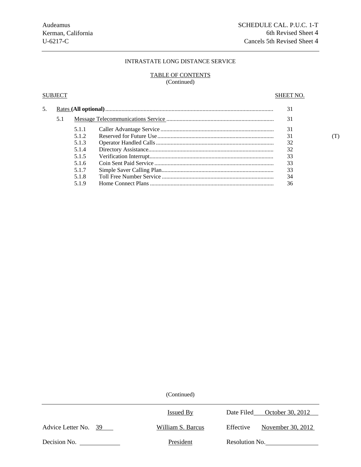## TABLE OF CONTENTS (Continued)

# SUBJECT SUBJECT SERVICES AND SHEET NO.

| 5. |     |       | 31 |    |  |
|----|-----|-------|----|----|--|
|    | 5.1 |       |    | 31 |  |
|    |     | 5.1.1 |    | 31 |  |
|    |     | 5.1.2 |    | 31 |  |
|    |     | 5.1.3 |    | 32 |  |
|    |     | 5.1.4 |    | 32 |  |
|    |     | 5.1.5 |    | 33 |  |
|    |     | 5.1.6 |    | 33 |  |
|    |     | 5.1.7 |    | 33 |  |
|    |     | 5.1.8 |    | 34 |  |
|    |     | 5.1.9 |    | 36 |  |

|                      | Issued By         | Date Filed October 30, 2012    |
|----------------------|-------------------|--------------------------------|
| Advice Letter No. 39 | William S. Barcus | November 30, 2012<br>Effective |
| Decision No.         | President         | Resolution No.                 |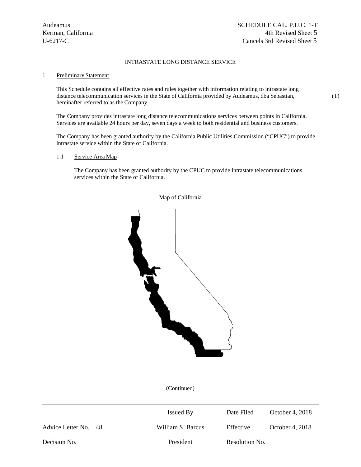#### 1. Preliminary Statement

This Schedule contains all effective rates and rules together with information relating to intrastate long distance telecommunication services in the State of California provided by Audeamus, dba Sebastian, (T) hereinafter referred to as the Company.

The Company provides intrastate long distance telecommunications services between points in California. Services are available 24 hours per day, seven days a week to both residential and business customers.

The Company has been granted authority by the California Public Utilities Commission ("CPUC") to provide intrastate service within the State of California.

1.1 Service Area Map

The Company has been granted authority by the CPUC to provide intrastate telecommunications services within the State of California.



### Map of California

|                      | Issued By         | October 4, 2018<br>Date Filed |
|----------------------|-------------------|-------------------------------|
| Advice Letter No. 48 | William S. Barcus | October 4, 2018<br>Effective  |
| Decision No.         | President         | Resolution No.                |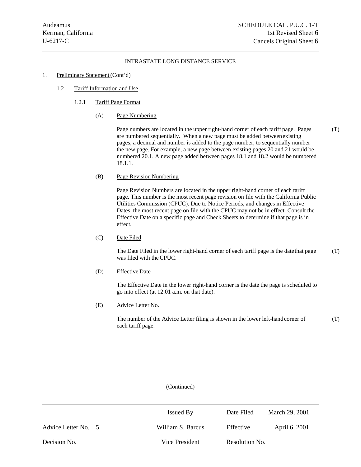#### 1. Preliminary Statement (Cont'd)

- 1.2 Tariff Information and Use
	- 1.2.1 Tariff Page Format
		- (A) Page Numbering

Page numbers are located in the upper right-hand corner of each tariff page. Pages (T) are numbered sequentially. When a new page must be added between existing pages, a decimal and number is added to the page number, to sequentially number the new page. For example, a new page between existing pages 20 and 21 would be numbered 20.1. A new page added between pages 18.1 and 18.2 would be numbered 18.1.1.

#### (B) Page Revision Numbering

Page Revision Numbers are located in the upper right-hand corner of each tariff page. This number is the most recent page revision on file with the California Public Utilities Commission (CPUC). Due to Notice Periods, and changes in Effective Dates, the most recent page on file with the CPUC may not be in effect. Consult the Effective Date on a specific page and Check Sheets to determine if that page is in effect.

(C) Date Filed

The Date Filed in the lower right-hand corner of each tariff page is the date that page (T) was filed with the CPUC.

(D) Effective Date

The Effective Date in the lower right-hand corner is the date the page is scheduled to go into effect (at 12:01 a.m. on that date).

(E) Advice Letter No.

The number of the Advice Letter filing is shown in the lower left-hand corner of (T) each tariff page.

|                     | <b>Issued By</b>  | March 29, 2001<br>Date Filed |
|---------------------|-------------------|------------------------------|
| Advice Letter No. 5 | William S. Barcus | Effective<br>April 6, 2001   |
| Decision No.        | Vice President    | Resolution No.               |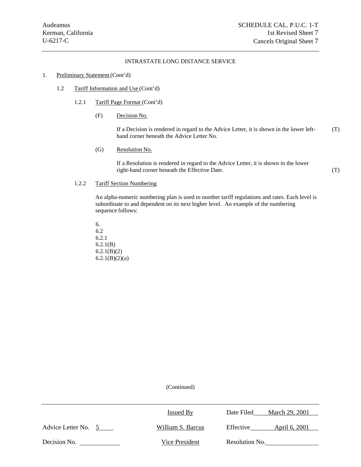$\overline{\phantom{0}}$ 

#### INTRASTATE LONG DISTANCE SERVICE

#### 1. Preliminary Statement (Cont'd)

- 1.2 Tariff Information and Use (Cont'd)
	- 1.2.1 Tariff Page Format (Cont'd)
		- (F) Decision No.

If a Decision is rendered in regard to the Advice Letter, it is shown in the lower lefthand corner beneath the Advice Letter No. (T)

(G) Resolution No.

If a Resolution is rendered in regard to the Advice Letter, it is shown in the lower right-hand corner beneath the Effective Date. (T)

#### 1.2.2 Tariff Section Numbering

An alpha-numeric numbering plan is used to number tariff regulations and rates. Each level is subordinate to and dependent on its next higher level. An example of the numbering sequence follows:

6. 6.2 6.2.1 6.2.1(B) 6.2.1(B)(2)  $6.2.1(B)(2)(a)$ 

|                     | <b>Issued By</b>  | March 29, 2001<br>Date Filed |  |
|---------------------|-------------------|------------------------------|--|
| Advice Letter No. 5 | William S. Barcus | Effective<br>April 6, 2001   |  |
| Decision No.        | Vice President    | Resolution No.               |  |
|                     |                   |                              |  |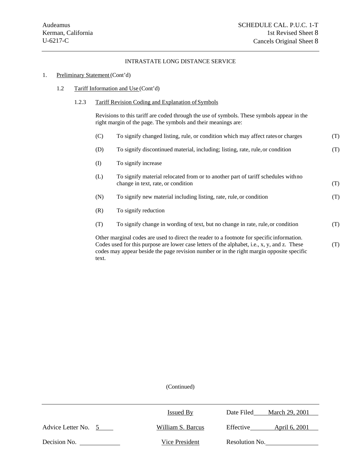# 1. Preliminary Statement (Cont'd)

1.2 Tariff Information and Use (Cont'd)

text.

 $\overline{\phantom{0}}$ 

# 1.2.3 Tariff Revision Coding and Explanation of Symbols

Revisions to this tariff are coded through the use of symbols. These symbols appear in the right margin of the page. The symbols and their meanings are:

| (C)                                                                                                                                                                                                                                                                                            | To signify changed listing, rule, or condition which may affect rates or charges                                        | (T) |
|------------------------------------------------------------------------------------------------------------------------------------------------------------------------------------------------------------------------------------------------------------------------------------------------|-------------------------------------------------------------------------------------------------------------------------|-----|
| (D)                                                                                                                                                                                                                                                                                            | To signify discontinued material, including; listing, rate, rule, or condition                                          | (T) |
| (I)                                                                                                                                                                                                                                                                                            | To signify increase                                                                                                     |     |
| (L)                                                                                                                                                                                                                                                                                            | To signify material relocated from or to another part of tariff schedules with no<br>change in text, rate, or condition | (T) |
| (N)                                                                                                                                                                                                                                                                                            | To signify new material including listing, rate, rule, or condition                                                     | (T) |
| (R)                                                                                                                                                                                                                                                                                            | To signify reduction                                                                                                    |     |
| (T)                                                                                                                                                                                                                                                                                            | To signify change in wording of text, but no change in rate, rule, or condition                                         | (T) |
| Other marginal codes are used to direct the reader to a footnote for specific information.<br>Codes used for this purpose are lower case letters of the alphabet, i.e., x, y, and z. These<br>(T)<br>codes may appear beside the page revision number or in the right margin opposite specific |                                                                                                                         |     |

|                     | <b>Issued By</b>  | March 29, 2001<br>Date Filed |
|---------------------|-------------------|------------------------------|
| Advice Letter No. 5 | William S. Barcus | Effective<br>April 6, 2001   |
| Decision No.        | Vice President    | Resolution No.               |
|                     |                   |                              |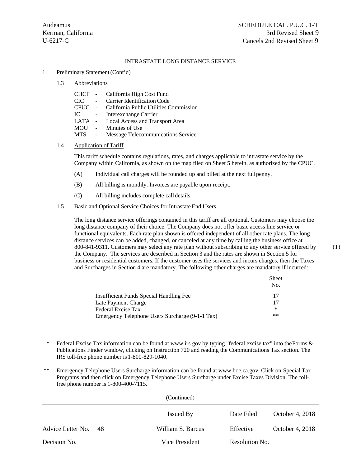#### 1. Preliminary Statement (Cont'd)

#### 1.3 Abbreviations

| CHCF - |            | California High Cost Fund                     |
|--------|------------|-----------------------------------------------|
| CIC –  | $\sim 100$ | Carrier Identification Code                   |
|        |            | CPUC - California Public Utilities Commission |
| TC.    | $\sim$ $-$ | Interexchange Carrier                         |

- LATA Local Access and Transport Area
- MOU Minutes of Use
- MTS Message Telecommunications Service

#### 1.4 Application of Tariff

This tariff schedule contains regulations, rates, and charges applicable to intrastate service by the Company within California, as shown on the map filed on Sheet 5 herein, as authorized by the CPUC.

- (A) Individual call charges will be rounded up and billed at the next full penny.
- (B) All billing is monthly. Invoices are payable upon receipt.
- (C) All billing includes complete call details.

#### 1.5 Basic and Optional Service Choices for Intrastate End Users

The long distance service offerings contained in this tariff are all optional. Customers may choose the long distance company of their choice. The Company does not offer basic access line service or functional equivalents. Each rate plan shown is offered independent of all other rate plans. The long distance services can be added, changed, or canceled at any time by calling the business office at 800-841-9311. Customers may select any rate plan without subscribing to any other service offered by (T) the Company. The services are described in Section 3 and the rates are shown in Section 5 for business or residential customers. If the customer uses the services and incurs charges, then the Taxes and Surcharges in Section 4 are mandatory. The following other charges are mandatory if incurred:

|                                                 | <b>Sheet</b><br>No. |
|-------------------------------------------------|---------------------|
| Insufficient Funds Special Handling Fee         |                     |
| Late Payment Charge                             |                     |
| Federal Excise Tax                              | $\ast$              |
| Emergency Telephone Users Surcharge (9-1-1 Tax) | $***$               |

- \* Federal Excise Tax information can be found at www.irs.gov by typing "federal excise tax" into the Forms & Publications Finder window, clicking on Instruction 720 and reading the Communications Tax section. The IRS toll-free phone number is 1-800-829-1040.
- \*\* Emergency Telephone Users Surcharge information can be found at www.boe.ca.gov. Click on Special Tax Programs and then click on Emergency Telephone Users Surcharge under Excise Taxes Division. The tollfree phone number is 1-800-400-7115.

|                      | (Continued)       |                               |
|----------------------|-------------------|-------------------------------|
|                      | <b>Issued By</b>  | October 4, 2018<br>Date Filed |
| Advice Letter No. 48 | William S. Barcus | October 4, 2018<br>Effective  |
| Decision No.         | Vice President    | Resolution No.                |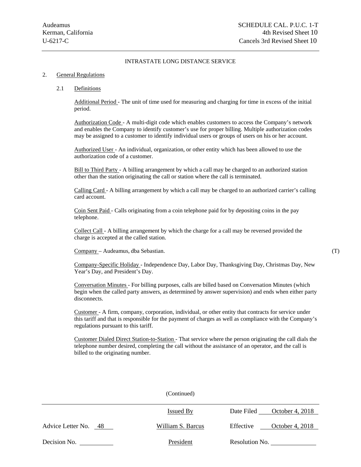#### 2. General Regulations

#### 2.1 Definitions

Additional Period - The unit of time used for measuring and charging for time in excess of the initial period.

Authorization Code - A multi-digit code which enables customers to access the Company's network and enables the Company to identify customer's use for proper billing. Multiple authorization codes may be assigned to a customer to identify individual users or groups of users on his or her account.

Authorized User - An individual, organization, or other entity which has been allowed to use the authorization code of a customer.

Bill to Third Party - A billing arrangement by which a call may be charged to an authorized station other than the station originating the call or station where the call is terminated.

Calling Card - A billing arrangement by which a call may be charged to an authorized carrier's calling card account.

Coin Sent Paid - Calls originating from a coin telephone paid for by depositing coins in the pay telephone.

Collect Call - A billing arrangement by which the charge for a call may be reversed provided the charge is accepted at the called station.

Company – Audeamus, dba Sebastian. (T)

Company-Specific Holiday - Independence Day, Labor Day, Thanksgiving Day, Christmas Day, New Year's Day, and President's Day.

Conversation Minutes - For billing purposes, calls are billed based on Conversation Minutes (which begin when the called party answers, as determined by answer supervision) and ends when either party disconnects.

Customer - A firm, company, corporation, individual, or other entity that contracts for service under this tariff and that is responsible for the payment of charges as well as compliance with the Company's regulations pursuant to this tariff.

Customer Dialed Direct Station-to-Station - That service where the person originating the call dials the telephone number desired, completing the call without the assistance of an operator, and the call is billed to the originating number.

|                      | $\overline{\mathrm{C}(\mathrm{C}(\mathrm{C}))}$ |                              |
|----------------------|-------------------------------------------------|------------------------------|
|                      | <b>Issued By</b>                                | Date Filed October 4, 2018   |
| Advice Letter No. 48 | William S. Barcus                               | October 4, 2018<br>Effective |
| Decision No.         | President                                       | Resolution No.               |

 $(C_{\text{ontinual}})$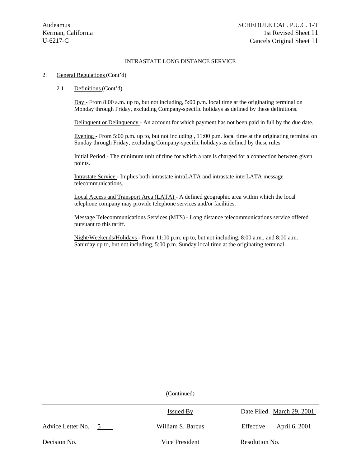#### 2. General Regulations (Cont'd)

#### 2.1 Definitions (Cont'd)

Day - From 8:00 a.m. up to, but not including, 5:00 p.m. local time at the originating terminal on Monday through Friday, excluding Company-specific holidays as defined by these definitions.

Delinquent or Delinquency - An account for which payment has not been paid in full by the due date.

Evening - From 5:00 p.m. up to, but not including , 11:00 p.m. local time at the originating terminal on Sunday through Friday, excluding Company-specific holidays as defined by these rules.

Initial Period - The minimum unit of time for which a rate is charged for a connection between given points.

Intrastate Service - Implies both intrastate intraLATA and intrastate interLATA message telecommunications.

Local Access and Transport Area (LATA) - A defined geographic area within which the local telephone company may provide telephone services and/or facilities.

Message Telecommunications Services (MTS) - Long distance telecommunications service offered pursuant to this tariff.

Night/Weekends/Holidays - From 11:00 p.m. up to, but not including, 8:00 a.m., and 8:00 a.m. Saturday up to, but not including, 5:00 p.m. Sunday local time at the originating terminal.

|                                    | <b>Issued By</b>  | Date Filed _March 29, 2001 |
|------------------------------------|-------------------|----------------------------|
| Advice Letter No.<br>$\mathcal{F}$ | William S. Barcus | Effective<br>April 6, 2001 |
| Decision No.                       | Vice President    | Resolution No.             |
|                                    |                   |                            |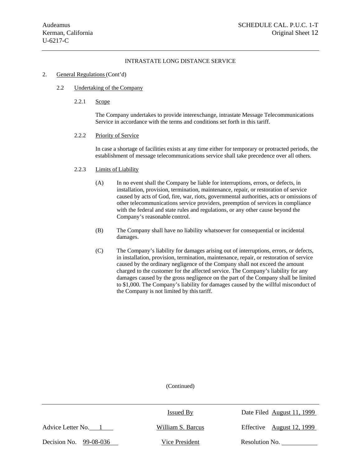#### 2. General Regulations (Cont'd)

#### 2.2 Undertaking of the Company

2.2.1 Scope

The Company undertakes to provide interexchange, intrastate Message Telecommunications Service in accordance with the terms and conditions set forth in this tariff.

#### 2.2.2 Priority of Service

In case a shortage of facilities exists at any time either for temporary or protracted periods, the establishment of message telecommunications service shall take precedence over all others.

#### 2.2.3 Limits of Liability

- (A) In no event shall the Company be liable for interruptions, errors, or defects, in installation, provision, termination, maintenance, repair, or restoration of service caused by acts of God, fire, war, riots, governmental authorities, acts or omissions of other telecommunications service providers, preemption of services in compliance with the federal and state rules and regulations, or any other cause beyond the Company's reasonable control.
- (B) The Company shall have no liability whatsoever for consequential or incidental damages.
- (C) The Company's liability for damages arising out of interruptions, errors, or defects, in installation, provision, termination, maintenance, repair, or restoration of service caused by the ordinary negligence of the Company shall not exceed the amount charged to the customer for the affected service. The Company's liability for any damages caused by the gross negligence on the part of the Company shall be limited to \$1,000. The Company's liability for damages caused by the willful misconduct of the Company is not limited by this tariff.

|                        | <b>Issued By</b>  | Date Filed August 11, 1999 |
|------------------------|-------------------|----------------------------|
| Advice Letter No. 1    | William S. Barcus | Effective August 12, 1999  |
| Decision No. 99-08-036 | Vice President    | Resolution No.             |
|                        |                   |                            |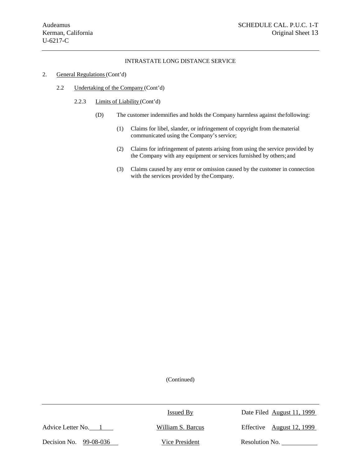- 2. General Regulations (Cont'd)
	- 2.2 Undertaking of the Company (Cont'd)
		- 2.2.3 Limits of Liability (Cont'd)
			- (D) The customer indemnifies and holds the Company harmless against the following:
				- (1) Claims for libel, slander, or infringement of copyright from the material communicated using the Company's service;
				- (2) Claims for infringement of patents arising from using the service provided by the Company with any equipment or services furnished by others; and
				- (3) Claims caused by any error or omission caused by the customer in connection with the services provided by the Company.

|                        | Issued By         | Date Filed August 11, 1999 |
|------------------------|-------------------|----------------------------|
| Advice Letter No.      | William S. Barcus | Effective August 12, 1999  |
| Decision No. 99-08-036 | Vice President    | Resolution No.             |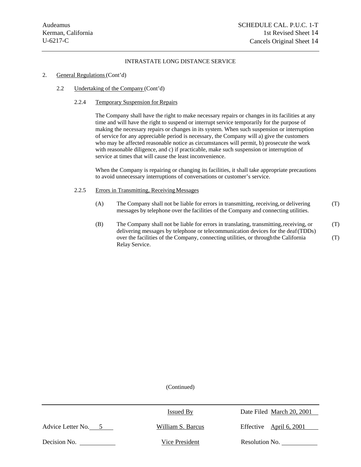#### 2. General Regulations (Cont'd)

# 2.2 Undertaking of the Company (Cont'd)

#### 2.2.4 Temporary Suspension for Repairs

The Company shall have the right to make necessary repairs or changes in its facilities at any time and will have the right to suspend or interrupt service temporarily for the purpose of making the necessary repairs or changes in its system. When such suspension or interruption of service for any appreciable period is necessary, the Company will a) give the customers who may be affected reasonable notice as circumstances will permit, b) prosecute the work with reasonable diligence, and c) if practicable, make such suspension or interruption of service at times that will cause the least inconvenience.

When the Company is repairing or changing its facilities, it shall take appropriate precautions to avoid unnecessary interruptions of conversations or customer's service.

#### 2.2.5 Errors in Transmitting, Receiving Messages

- (A) The Company shall not be liable for errors in transmitting, receiving, or delivering (T) messages by telephone over the facilities of the Company and connecting utilities.
- (B) The Company shall not be liable for errors in translating, transmitting, receiving, or (T) delivering messages by telephone or telecommunication devices for the deaf (TDDs) over the facilities of the Company, connecting utilities, or through the California (T) Relay Service.

|                   | <b>Issued By</b>  | Date Filed March 20, 2001 |
|-------------------|-------------------|---------------------------|
| Advice Letter No. | William S. Barcus | Effective April $6, 2001$ |
| Decision No.      | Vice President    | Resolution No.            |
|                   |                   |                           |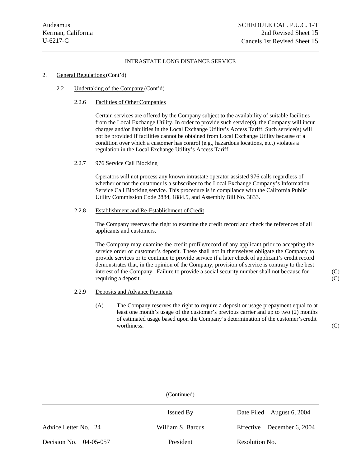#### 2. General Regulations (Cont'd)

2.2 Undertaking of the Company (Cont'd)

#### 2.2.6 Facilities of Other Companies

Certain services are offered by the Company subject to the availability of suitable facilities from the Local Exchange Utility. In order to provide such service(s), the Company will incur charges and/or liabilities in the Local Exchange Utility's Access Tariff. Such service(s) will not be provided if facilities cannot be obtained from Local Exchange Utility because of a condition over which a customer has control (e.g., hazardous locations, etc.) violates a regulation in the Local Exchange Utility's Access Tariff.

#### 2.2.7 976 Service Call Blocking

Operators will not process any known intrastate operator assisted 976 calls regardless of whether or not the customer is a subscriber to the Local Exchange Company's Information Service Call Blocking service. This procedure is in compliance with the California Public Utility Commission Code 2884, 1884.5, and Assembly Bill No. 3833.

#### 2.2.8 Establishment and Re-Establishment of Credit

The Company reserves the right to examine the credit record and check the references of all applicants and customers.

The Company may examine the credit profile/record of any applicant prior to accepting the service order or customer's deposit. These shall not in themselves obligate the Company to provide services or to continue to provide service if a later check of applicant's credit record demonstrates that, in the opinion of the Company, provision of service is contrary to the best interest of the Company. Failure to provide a social security number shall not because for (C) requiring a deposit. (C)

- 2.2.9 Deposits and Advance Payments
	- (A) The Company reserves the right to require a deposit or usage prepayment equal to at least one month's usage of the customer's previous carrier and up to two (2) months of estimated usage based upon the Company's determination of the customer's credit worthiness. (C)

|                          | $($ Comunica $)$  |                            |
|--------------------------|-------------------|----------------------------|
|                          | <b>Issued By</b>  | Date Filed August 6, 2004  |
| Advice Letter No. 24     | William S. Barcus | Effective December 6, 2004 |
| Decision No. $04-05-057$ | President         | Resolution No.             |

 $(C_{\text{ontinual}})$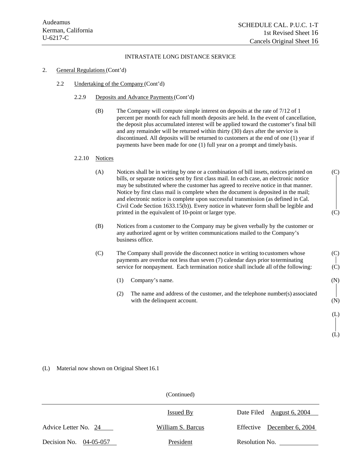(L)

(L)

#### INTRASTATE LONG DISTANCE SERVICE

#### 2. General Regulations (Cont'd)

- 2.2 Undertaking of the Company (Cont'd)
	- 2.2.9 Deposits and Advance Payments (Cont'd)
		- (B) The Company will compute simple interest on deposits at the rate of 7/12 of 1 percent per month for each full month deposits are held. In the event of cancellation, the deposit plus accumulated interest will be applied toward the customer's final bill and any remainder will be returned within thirty (30) days after the service is discontinued. All deposits will be returned to customers at the end of one (1) year if payments have been made for one (1) full year on a prompt and timely basis.

#### 2.2.10 Notices

- (A) Notices shall be in writing by one or a combination of bill insets, notices printed on (C) bills, or separate notices sent by first class mail. In each case, an electronic notice may be substituted where the customer has agreed to receive notice in that manner. Notice by first class mail is complete when the document is deposited in the mail; and electronic notice is complete upon successful transmission (as defined in Cal. Civil Code Section 1633.15(b)). Every notice in whatever form shall be legible and printed in the equivalent of 10-point or larger type. (C)
- (B) Notices from a customer to the Company may be given verbally by the customer or any authorized agent or by written communications mailed to the Company's business office.
- (C) The Company shall provide the disconnect notice in writing to customers whose (C) payments are overdue not less than seven (7) calendar days prior to terminating service for nonpayment. Each termination notice shall include all of the following: (C)
	- (1) Company's name. (N)
	- (2) The name and address of the customer, and the telephone number(s) associated with the delinquent account. (N)

(L) Material now shown on Original Sheet 16.1

|                          | (Continued)       |                            |
|--------------------------|-------------------|----------------------------|
|                          | Issued By         | Date Filed August 6, 2004  |
| Advice Letter No. 24     | William S. Barcus | Effective December 6, 2004 |
| Decision No. $04-05-057$ | President         | Resolution No.             |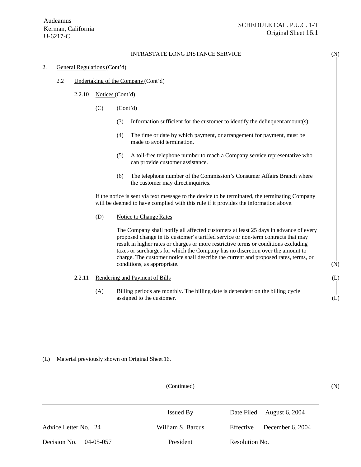#### 2. General Regulations (Cont'd)

- 2.2 Undertaking of the Company (Cont'd)
	- 2.2.10 Notices (Cont'd)
		- $(C)$   $(Cont'd)$ 
			- (3) Information sufficient for the customer to identify the delinquent amount(s).
			- (4) The time or date by which payment, or arrangement for payment, must be made to avoid termination.
			- (5) A toll-free telephone number to reach a Company service representative who can provide customer assistance.
			- (6) The telephone number of the Commission's Consumer Affairs Branch where the customer may direct inquiries.

If the notice is sent via text message to the device to be terminated, the terminating Company will be deemed to have complied with this rule if it provides the information above.

(D) Notice to Change Rates

The Company shall notify all affected customers at least 25 days in advance of every proposed change in its customer's tariffed service or non-term contracts that may result in higher rates or charges or more restrictive terms or conditions excluding taxes or surcharges for which the Company has no discretion over the amount to charge. The customer notice shall describe the current and proposed rates, terms, or conditions, as appropriate. (N)

#### 2.2.11 Rendering and Payment of Bills (L) (L)

(A) Billing periods are monthly. The billing date is dependent on the billing cycle assigned to the customer. (L)

# (L) Material previously shown on Original Sheet 16.

#### (Continued) (N)

|                                 | Issued By         | Date Filed August 6, 2004       |  |
|---------------------------------|-------------------|---------------------------------|--|
| Advice Letter No. 24            | William S. Barcus | December $6, 2004$<br>Effective |  |
| Decision No.<br>$04 - 05 - 057$ | President         | Resolution No.                  |  |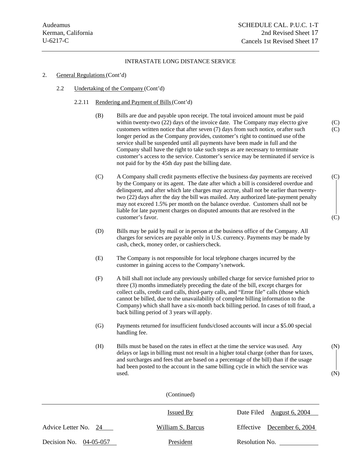#### 2. General Regulations (Cont'd)

2.2 Undertaking of the Company (Cont'd)

#### 2.2.11 Rendering and Payment of Bills (Cont'd)

- (B) Bills are due and payable upon receipt. The total invoiced amount must be paid within twenty-two  $(22)$  days of the invoice date. The Company may elect to give  $(C)$ customers written notice that after seven (7) days from such notice, or after such (C) longer period as the Company provides, customer's right to continued use of the service shall be suspended until all payments have been made in full and the Company shall have the right to take such steps as are necessary to terminate customer's access to the service. Customer's service may be terminated if service is not paid for by the 45th day past the billing date.
- (C) A Company shall credit payments effective the business day payments are received (C) by the Company or its agent. The date after which a bill is considered overdue and delinquent, and after which late charges may accrue, shall not be earlier than twentytwo (22) days after the day the bill was mailed. Any authorized late-payment penalty may not exceed 1.5% per month on the balance overdue. Customers shall not be liable for late payment charges on disputed amounts that are resolved in the customer's favor. (C)
- (D) Bills may be paid by mail or in person at the business office of the Company. All charges for services are payable only in U.S. currency. Payments may be made by cash, check, money order, or cashiers check.
- (E) The Company is not responsible for local telephone charges incurred by the customer in gaining access to the Company's network.
- (F) A bill shall not include any previously unbilled charge for service furnished prior to three (3) months immediately preceding the date of the bill, except charges for collect calls, credit card calls, third-party calls, and "Error file" calls (those which cannot be billed, due to the unavailability of complete billing information to the Company) which shall have a six-month back billing period. In cases of toll fraud, a back billing period of 3 years will apply.
- (G) Payments returned for insufficient funds/closed accounts will incur a \$5.00 special handling fee.
- (H) Bills must be based on the rates in effect at the time the service was used. Any (N) delays or lags in billing must not result in a higher total charge (other than for taxes, and surcharges and fees that are based on a percentage of the bill) than if the usage had been posted to the account in the same billing cycle in which the service was  $used.$  (N)

(Continued) Issued By Date Filed August 6, 2004 Advice Letter No. 24 William S. Barcus Effective December 6, 2004 Decision No. 04-05-057 President Resolution No.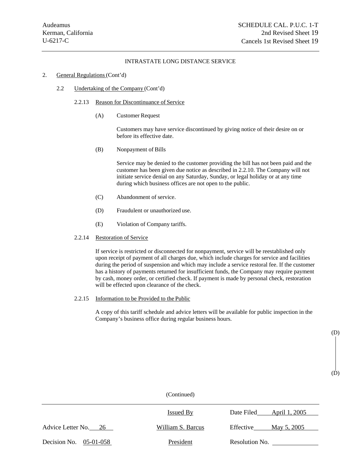# 2. General Regulations (Cont'd)

2.2 Undertaking of the Company (Cont'd)

#### 2.2.13 Reason for Discontinuance of Service

(A) Customer Request

Customers may have service discontinued by giving notice of their desire on or before its effective date.

(B) Nonpayment of Bills

Service may be denied to the customer providing the bill has not been paid and the customer has been given due notice as described in 2.2.10. The Company will not initiate service denial on any Saturday, Sunday, or legal holiday or at any time during which business offices are not open to the public.

- (C) Abandonment of service.
- (D) Fraudulent or unauthorized use.
- (E) Violation of Company tariffs.

#### 2.2.14 Restoration of Service

If service is restricted or disconnected for nonpayment, service will be reestablished only upon receipt of payment of all charges due, which include charges for service and facilities during the period of suspension and which may include a service restoral fee. If the customer has a history of payments returned for insufficient funds, the Company may require payment by cash, money order, or certified check. If payment is made by personal check, restoration will be effected upon clearance of the check.

#### 2.2.15 Information to be Provided to the Public

A copy of this tariff schedule and advice letters will be available for public inspection in the Company's business office during regular business hours.

> (D) (D)

(Continued) Issued By Date Filed April 1, 2005 Advice Letter No. 26 William S. Barcus Effective May 5, 2005 Decision No. 05-01-058 President Resolution No.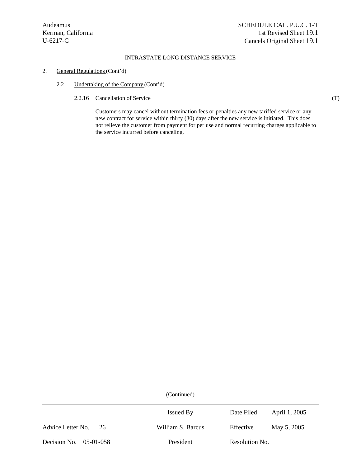# 2. General Regulations (Cont'd)

- 2.2 Undertaking of the Company (Cont'd)
	- 2.2.16 Cancellation of Service (T)

Customers may cancel without termination fees or penalties any new tariffed service or any new contract for service within thirty (30) days after the new service is initiated. This does not relieve the customer from payment for per use and normal recurring charges applicable to the service incurred before canceling.

|                          | Issued By         | Date Filed<br>April 1, 2005 |
|--------------------------|-------------------|-----------------------------|
| Advice Letter No. 26     | William S. Barcus | Effective<br>May 5, 2005    |
| Decision No. $05-01-058$ | President         | Resolution No.              |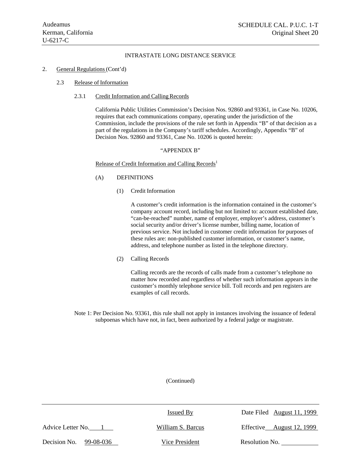#### 2. General Regulations (Cont'd)

#### 2.3 Release of Information

#### 2.3.1 Credit Information and Calling Records

California Public Utilities Commission's Decision Nos. 92860 and 93361, in Case No. 10206, requires that each communications company, operating under the jurisdiction of the Commission, include the provisions of the rule set forth in Appendix "B" of that decision as a part of the regulations in the Company's tariff schedules. Accordingly, Appendix "B" of Decision Nos. 92860 and 93361, Case No. 10206 is quoted herein:

#### "APPENDIX B"

#### Release of Credit Information and Calling Records<sup>1</sup>

## (A) DEFINITIONS

(1) Credit Information

A customer's credit information is the information contained in the customer's company account record, including but not limited to: account established date, "can-be-reached" number, name of employer, employer's address, customer's social security and/or driver's license number, billing name, location of previous service. Not included in customer credit information for purposes of these rules are: non-published customer information, or customer's name, address, and telephone number as listed in the telephone directory.

(2) Calling Records

Calling records are the records of calls made from a customer's telephone no matter how recorded and regardless of whether such information appears in the customer's monthly telephone service bill. Toll records and pen registers are examples of call records.

Note 1: Per Decision No. 93361, this rule shall not apply in instances involving the issuance of federal subpoenas which have not, in fact, been authorized by a federal judge or magistrate.

|                        | Issued By         | Date Filed August 11, 1999 |
|------------------------|-------------------|----------------------------|
| Advice Letter No. 1    | William S. Barcus | Effective August 12, 1999  |
| Decision No. 99-08-036 | Vice President    | Resolution No.             |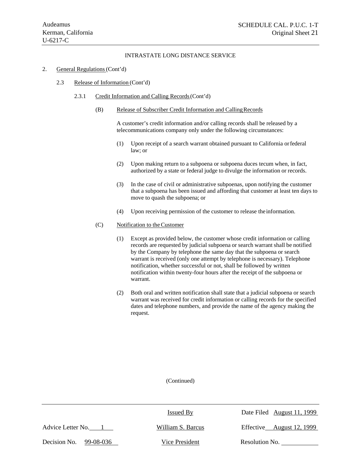#### 2. General Regulations (Cont'd)

#### 2.3 Release of Information (Cont'd)

- 2.3.1 Credit Information and Calling Records (Cont'd)
	- (B) Release of Subscriber Credit Information and Calling Records

A customer's credit information and/or calling records shall be released by a telecommunications company only under the following circumstances:

- (1) Upon receipt of a search warrant obtained pursuant to California or federal law; or
- (2) Upon making return to a subpoena or subpoena duces tecum when, in fact, authorized by a state or federal judge to divulge the information or records.
- (3) In the case of civil or administrative subpoenas, upon notifying the customer that a subpoena has been issued and affording that customer at least ten days to move to quash the subpoena; or
- (4) Upon receiving permission of the customer to release the information.

#### (C) Notification to the Customer

- (1) Except as provided below, the customer whose credit information or calling records are requested by judicial subpoena or search warrant shall be notified by the Company by telephone the same day that the subpoena or search warrant is received (only one attempt by telephone is necessary). Telephone notification, whether successful or not, shall be followed by written notification within twenty-four hours after the receipt of the subpoena or warrant.
- (2) Both oral and written notification shall state that a judicial subpoena or search warrant was received for credit information or calling records for the specified dates and telephone numbers, and provide the name of the agency making the request.

|                           | Issued By         | Date Filed August 11, 1999 |
|---------------------------|-------------------|----------------------------|
| Advice Letter No.         | William S. Barcus | Effective August 12, 1999  |
| Decision No.<br>99-08-036 | Vice President    | Resolution No.             |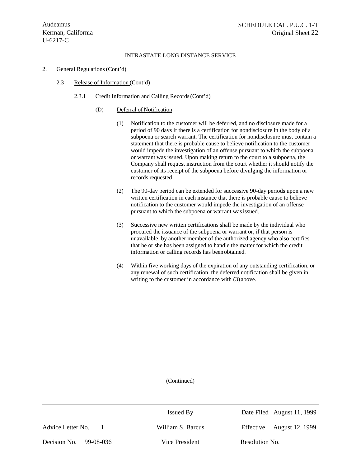- 2. General Regulations (Cont'd)
	- 2.3 Release of Information (Cont'd)
		- 2.3.1 Credit Information and Calling Records (Cont'd)
			- (D) Deferral of Notification
				- (1) Notification to the customer will be deferred, and no disclosure made for a period of 90 days if there is a certification for nondisclosure in the body of a subpoena or search warrant. The certification for nondisclosure must contain a statement that there is probable cause to believe notification to the customer would impede the investigation of an offense pursuant to which the subpoena or warrant was issued. Upon making return to the court to a subpoena, the Company shall request instruction from the court whether it should notify the customer of its receipt of the subpoena before divulging the information or records requested.
				- (2) The 90-day period can be extended for successive 90-day periods upon a new written certification in each instance that there is probable cause to believe notification to the customer would impede the investigation of an offense pursuant to which the subpoena or warrant was issued.
				- (3) Successive new written certifications shall be made by the individual who procured the issuance of the subpoena or warrant or, if that person is unavailable, by another member of the authorized agency who also certifies that he or she has been assigned to handle the matter for which the credit information or calling records has been obtained.
				- (4) Within five working days of the expiration of any outstanding certification, or any renewal of such certification, the deferred notification shall be given in writing to the customer in accordance with (3) above.

|                           | <b>Issued By</b>  | Date Filed August 11, 1999   |
|---------------------------|-------------------|------------------------------|
| Advice Letter No.         | William S. Barcus | August 12, 1999<br>Effective |
| Decision No.<br>99-08-036 | Vice President    | Resolution No.               |
|                           |                   |                              |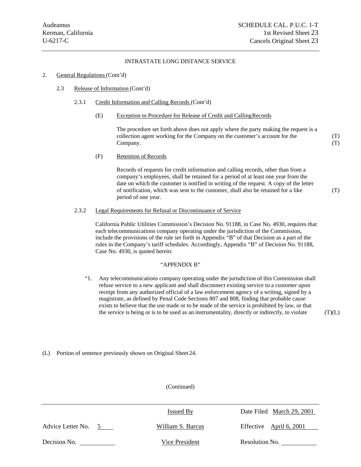#### 2. General Regulations (Cont'd)

2.3 Release of Information (Cont'd)

#### 2.3.1 Credit Information and Calling Records (Cont'd)

(E) Exception to Procedure for Release of Credit and Calling Records

The procedure set forth above does not apply where the party making the request is a collection agent working for the Company on the customer's account for the (T) Company. (T) (T)

(F) Retention of Records

Records of requests for credit information and calling records, other than from a company's employees, shall be retained for a period of at least one year from the date on which the customer is notified in writing of the request. A copy of the letter of notification, which was sent to the customer, shall also be retained for a like period of one year.

2.3.2 Legal Requirements for Refusal or Discontinuance of Service

California Public Utilities Commission's Decision No. 91188, in Case No. 4930, requires that each telecommunications company operating under the jurisdiction of the Commission, include the provisions of the rule set forth in Appendix "B" of that Decision as a part of the rules in the Company's tariff schedules. Accordingly, Appendix "B" of Decision No. 91188, Case No. 4930, is quoted herein:

#### "APPENDIX B"

"1. Any telecommunications company operating under the jurisdiction of this Commission shall refuse service to a new applicant and shall disconnect existing service to a customer upon receipt from any authorized official of a law enforcement agency of a writing, signed by a magistrate, as defined by Penal Code Sections 807 and 808, finding that probable cause exists to believe that the use made or to be made of the service is prohibited by law, or that the service is being or is to be used as an instrumentality, directly or indirectly, to violate  $(T)(L)$ 

#### (L) Portion of sentence previously shown on Original Sheet 24.

|                                     | <b>Issued By</b>  | Date Filed March 29, 2001 |
|-------------------------------------|-------------------|---------------------------|
| Advice Letter No.<br>$\overline{5}$ | William S. Barcus | Effective April 6, 2001   |
| Decision No.                        | Vice President    | Resolution No.            |

(Continued)

(T)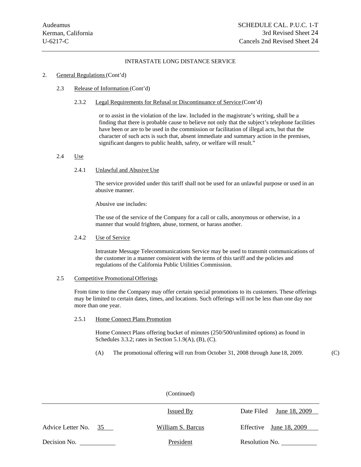#### 2. General Regulations (Cont'd)

#### 2.3 Release of Information (Cont'd)

#### 2.3.2 Legal Requirements for Refusal or Discontinuance of Service (Cont'd)

or to assist in the violation of the law. Included in the magistrate's writing, shall be a finding that there is probable cause to believe not only that the subject's telephone facilities have been or are to be used in the commission or facilitation of illegal acts, but that the character of such acts is such that, absent immediate and summary action in the premises, significant dangers to public health, safety, or welfare will result."

#### 2.4 Use

#### 2.4.1 Unlawful and Abusive Use

The service provided under this tariff shall not be used for an unlawful purpose or used in an abusive manner.

Abusive use includes:

The use of the service of the Company for a call or calls, anonymous or otherwise, in a manner that would frighten, abuse, torment, or harass another.

#### 2.4.2 Use of Service

Intrastate Message Telecommunications Service may be used to transmit communications of the customer in a manner consistent with the terms of this tariff and the policies and regulations of the California Public Utilities Commission.

#### 2.5 Competitive Promotional Offerings

From time to time the Company may offer certain special promotions to its customers. These offerings may be limited to certain dates, times, and locations. Such offerings will not be less than one day nor more than one year.

2.5.1 Home Connect Plans Promotion

Home Connect Plans offering bucket of minutes (250/500/unlimited options) as found in Schedules 3.3.2; rates in Section 5.1.9(A), (B), (C).

(A) The promotional offering will run from October 31, 2008 through June 18, 2009. (C)

|                         | (Continued)       |                             |
|-------------------------|-------------------|-----------------------------|
|                         | <b>Issued By</b>  | June 18, 2009<br>Date Filed |
| Advice Letter No.<br>35 | William S. Barcus | Effective June $18, 2009$   |
| Decision No.            | President         | Resolution No.              |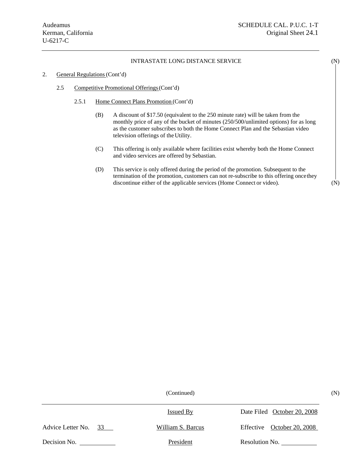#### 2. General Regulations (Cont'd)

- 2.5 Competitive Promotional Offerings (Cont'd)
	- 2.5.1 Home Connect Plans Promotion (Cont'd)
		- (B) A discount of \$17.50 (equivalent to the 250 minute rate) will be taken from the monthly price of any of the bucket of minutes (250/500/unlimited options) for as long as the customer subscribes to both the Home Connect Plan and the Sebastian video television offerings of the Utility.
		- (C) This offering is only available where facilities exist whereby both the Home Connect and video services are offered by Sebastian.
		- (D) This service is only offered during the period of the promotion. Subsequent to the termination of the promotion, customers can not re-subscribe to this offering once they discontinue either of the applicable services (Home Connect or video). (N)

(Continued) (N)

Advice Letter No. 33 William S. Barcus Effective October 20, 2008 Decision No. <u>Neglection No.</u> 2014. President Resolution No. 2014. The Resolution No. 2014. The Resolution No. 2014. The Resolution No. 2014. The Resolution No. 2014. The Resolution No. 2014. The Resolution No. 2014. The R Issued By Date Filed October 20, 2008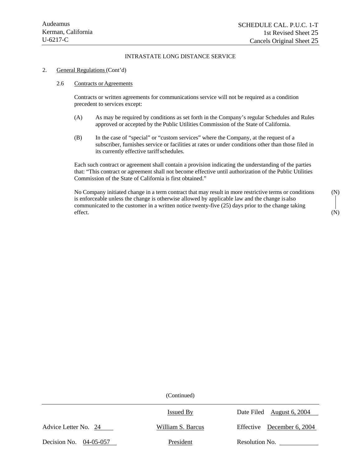#### 2. General Regulations (Cont'd)

#### 2.6 Contracts or Agreements

Contracts or written agreements for communications service will not be required as a condition precedent to services except:

- (A) As may be required by conditions as set forth in the Company's regular Schedules and Rules approved or accepted by the Public Utilities Commission of the State of California.
- (B) In the case of "special" or "custom services" where the Company, at the request of a subscriber, furnishes service or facilities at rates or under conditions other than those filed in its currently effective tariff schedules.

Each such contract or agreement shall contain a provision indicating the understanding of the parties that: "This contract or agreement shall not become effective until authorization of the Public Utilities Commission of the State of California is first obtained."

No Company initiated change in a term contract that may result in more restrictive terms or conditions (N) is enforceable unless the change is otherwise allowed by applicable law and the change is also communicated to the customer in a written notice twenty-five (25) days prior to the change taking effect. (N)

|                          | Issued By         | Date Filed August 6, 2004  |
|--------------------------|-------------------|----------------------------|
| Advice Letter No. 24     | William S. Barcus | Effective December 6, 2004 |
| Decision No. $04-05-057$ | President         | Resolution No.             |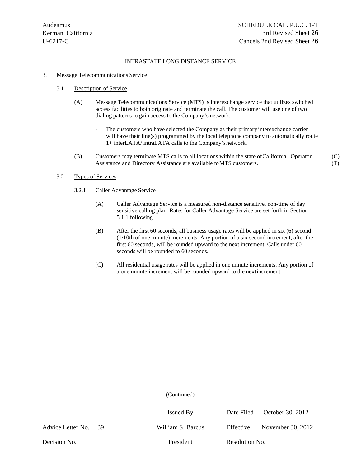#### 3. Message Telecommunications Service

#### 3.1 Description of Service

- (A) Message Telecommunications Service (MTS) is interexchange service that utilizes switched access facilities to both originate and terminate the call. The customer will use one of two dialing patterns to gain access to the Company's network.
	- The customers who have selected the Company as their primary interexchange carrier will have their line(s) programmed by the local telephone company to automatically route 1+ interLATA/ intraLATA calls to the Company's network.
- (B) Customers may terminate MTS calls to all locations within the state of California. Operator (C) Assistance and Directory Assistance are available to MTS customers. (T)

## 3.2 Types of Services

- 3.2.1 Caller Advantage Service
	- (A) Caller Advantage Service is a measured non-distance sensitive, non-time of day sensitive calling plan. Rates for Caller Advantage Service are set forth in Section 5.1.1 following.
	- (B) After the first 60 seconds, all business usage rates will be applied in six (6) second (1/10th of one minute) increments. Any portion of a six second increment, after the first 60 seconds, will be rounded upward to the next increment. Calls under 60 seconds will be rounded to 60 seconds.
	- (C) All residential usage rates will be applied in one minute increments. Any portion of a one minute increment will be rounded upward to the next increment.

|                         | <b>Issued By</b>  | October 30, 2012<br>Date Filed |
|-------------------------|-------------------|--------------------------------|
| Advice Letter No.<br>39 | William S. Barcus | November 30, 2012<br>Effective |
| Decision No.            | President         | Resolution No.                 |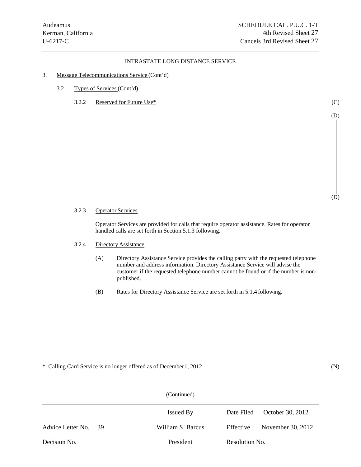- 3. Message Telecommunications Service (Cont'd)
	- 3.2 Types of Services (Cont'd)
		- 3.2.2 Reserved for Future Use\* (C)

3.2.3 Operator Services

Operator Services are provided for calls that require operator assistance. Rates for operator handled calls are set forth in Section 5.1.3 following.

- 3.2.4 Directory Assistance
	- (A) Directory Assistance Service provides the calling party with the requested telephone number and address information. Directory Assistance Service will advise the customer if the requested telephone number cannot be found or if the number is nonpublished.
	- (B) Rates for Directory Assistance Service are set forth in 5.1.4 following.

\* Calling Card Service is no longer offered as of December 1, 2012. (N)

(Continued) Issued <u>By</u> Date Filed October 30, 2012 Advice Letter No. 39 William S. Barcus Effective November 30, 2012 Decision No. President Resolution No. (D)

(D)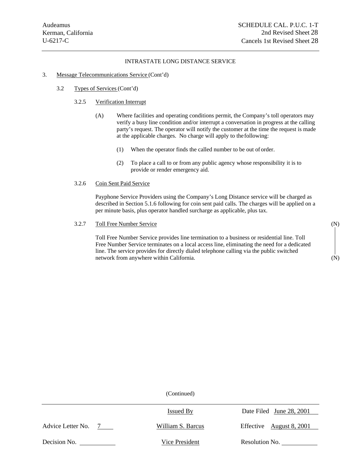#### 3. Message Telecommunications Service (Cont'd)

3.2 Types of Services (Cont'd)

# 3.2.5 Verification Interrupt

- (A) Where facilities and operating conditions permit, the Company's toll operators may verify a busy line condition and/or interrupt a conversation in progress at the calling party's request. The operator will notify the customer at the time the request is made at the applicable charges. No charge will apply to the following:
	- (1) When the operator finds the called number to be out of order.
	- (2) To place a call to or from any public agency whose responsibility it is to provide or render emergency aid.

#### 3.2.6 Coin Sent Paid Service

Payphone Service Providers using the Company's Long Distance service will be charged as described in Section 5.1.6 following for coin sent paid calls. The charges will be applied on a per minute basis, plus operator handled surcharge as applicable, plus tax.

#### 3.2.7 Toll Free Number Service (N)

Toll Free Number Service provides line termination to a business or residential line. Toll Free Number Service terminates on a local access line, eliminating the need for a dedicated line. The service provides for directly dialed telephone calling via the public switched network from anywhere within California. (N)

(Continued)

Issued By

Date Filed June 28, 2001

Advice Letter No. 7

William S. Barcus

Effective <u>August 8, 2001</u>

Decision No. Vice President Resolution No.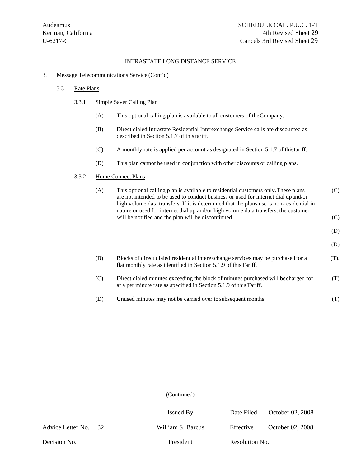#### 3. Message Telecommunications Service (Cont'd)

#### 3.3 Rate Plans

#### 3.3.1 Simple Saver Calling Plan

- (A) This optional calling plan is available to all customers of the Company.
- (B) Direct dialed Intrastate Residential Interexchange Service calls are discounted as described in Section 5.1.7 of this tariff.
- (C) A monthly rate is applied per account as designated in Section 5.1.7 of this tariff.
- (D) This plan cannot be used in conjunction with other discounts or calling plans.

# 3.3.2 Home Connect Plans

| (A) | This optional calling plan is available to residential customers only. These plans<br>are not intended to be used to conduct business or used for internet dial up and/or<br>high volume data transfers. If it is determined that the plans use is non-residential in<br>nature or used for internet dial up and/or high volume data transfers, the customer<br>will be notified and the plan will be discontinued. | (C)<br>(C) |
|-----|---------------------------------------------------------------------------------------------------------------------------------------------------------------------------------------------------------------------------------------------------------------------------------------------------------------------------------------------------------------------------------------------------------------------|------------|
|     |                                                                                                                                                                                                                                                                                                                                                                                                                     | (D)<br>(D) |
| (B) | Blocks of direct dialed residential interexchange services may be purchased for a<br>flat monthly rate as identified in Section 5.1.9 of this Tariff.                                                                                                                                                                                                                                                               | (T).       |
| (C) | Direct dialed minutes exceeding the block of minutes purchased will be charged for<br>at a per minute rate as specified in Section 5.1.9 of this Tariff.                                                                                                                                                                                                                                                            | (T)        |

(D) Unused minutes may not be carried over to subsequent months. (T)

(Continued)

|                      | <b>Issued By</b>  | October 02, 2008<br>Date Filed |
|----------------------|-------------------|--------------------------------|
| Advice Letter No. 32 | William S. Barcus | October 02, 2008<br>Effective  |
| Decision No.         | President         | Resolution No.                 |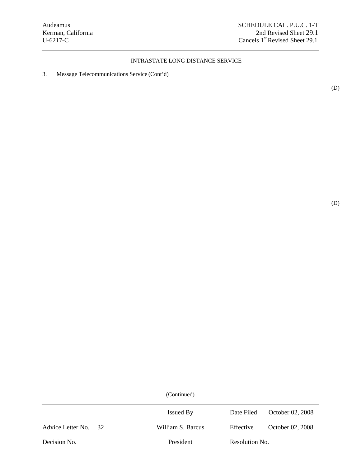3. Message Telecommunications Service (Cont'd)

(D)

(D)

|                         | <b>Issued By</b>  | Date Filed     | October 02, 2008 |
|-------------------------|-------------------|----------------|------------------|
| Advice Letter No.<br>32 | William S. Barcus | Effective      | October 02, 2008 |
| Decision No.            | President         | Resolution No. |                  |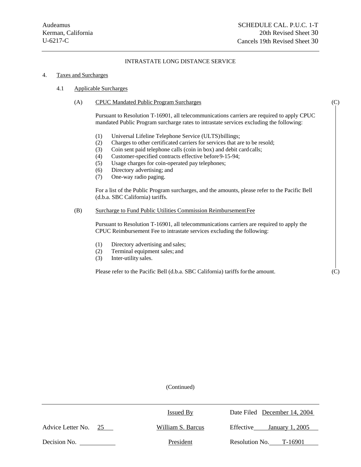#### 4. Taxes and Surcharges

#### 4.1 Applicable Surcharges

#### (A) CPUC Mandated Public Program Surcharges (C)

Pursuant to Resolution T-16901, all telecommunications carriers are required to apply CPUC mandated Public Program surcharge rates to intrastate services excluding the following:

- (1) Universal Lifeline Telephone Service (ULTS) billings;
- (2) Charges to other certificated carriers for services that are to be resold;
- (3) Coin sent paid telephone calls (coin in box) and debit card calls;
- (4) Customer-specified contracts effective before 9-15-94;
- (5) Usage charges for coin-operated pay telephones;
- (6) Directory advertising; and
- (7) One-way radio paging.

For a list of the Public Program surcharges, and the amounts, please refer to the Pacific Bell (d.b.a. SBC California) tariffs.

#### (B) Surcharge to Fund Public Utilities Commission Reimbursement Fee

Pursuant to Resolution T-16901, all telecommunications carriers are required to apply the CPUC Reimbursement Fee to intrastate services excluding the following:

- (1) Directory advertising and sales;
- (2) Terminal equipment sales; and
- (3) Inter-utility sales.

Please refer to the Pacific Bell (d.b.a. SBC California) tariffs for the amount. (C)

|                      | <b>Issued By</b>  | Date Filed December 14, 2004 |
|----------------------|-------------------|------------------------------|
| Advice Letter No. 25 | William S. Barcus | January 1, 2005<br>Effective |
| Decision No.         | President         | Resolution No. T-16901       |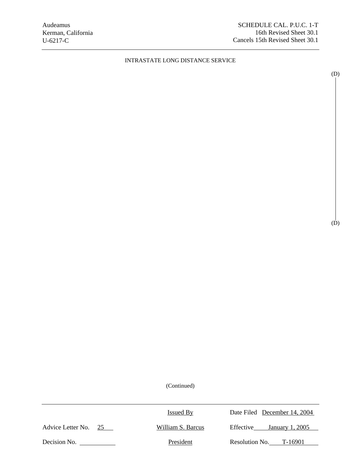(D)

(D)

| Date Filed December 14, 2004 |
|------------------------------|
| January 1, 2005              |
| Resolution No. $T-16901$     |
|                              |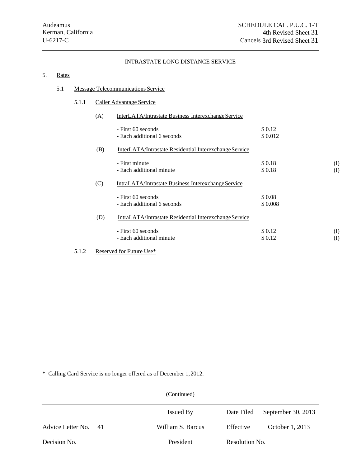# 5. Rates

# 5.1 Message Telecommunications Service

# 5.1.1 Caller Advantage Service

|       | (A) | InterLATA/Intrastate Business Interexchange Service    |                   |                           |
|-------|-----|--------------------------------------------------------|-------------------|---------------------------|
|       |     | - First 60 seconds<br>- Each additional 6 seconds      | \$0.12<br>\$0.012 |                           |
|       | (B) | InterLATA/Intrastate Residential Interexchange Service |                   |                           |
|       |     | - First minute<br>- Each additional minute             | \$0.18<br>\$0.18  | $\rm (I)$<br>$($ $\Gamma$ |
|       | (C) | IntraLATA/Intrastate Business Interexchange Service    |                   |                           |
|       |     | - First 60 seconds<br>- Each additional 6 seconds      | \$0.08<br>\$0.008 |                           |
|       | (D) | IntraLATA/Intrastate Residential Interexchange Service |                   |                           |
|       |     | - First 60 seconds<br>- Each additional minute         | \$0.12<br>\$0.12  | $\rm (I)$<br>$\rm(I)$     |
| 5.1.2 |     | Reserved for Future Use*                               |                   |                           |

\* Calling Card Service is no longer offered as of December 1, 2012.

|                         | (Continued)       |                               |
|-------------------------|-------------------|-------------------------------|
|                         | <b>Issued By</b>  | Date Filed September 30, 2013 |
| Advice Letter No.<br>41 | William S. Barcus | October 1, 2013<br>Effective  |
| Decision No.            | President         | Resolution No.                |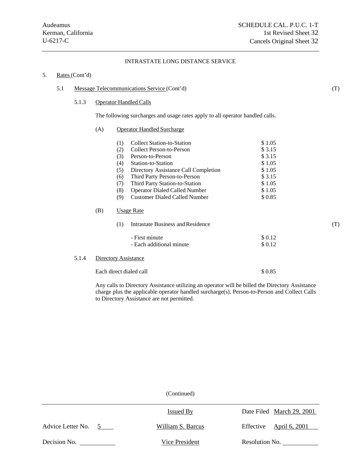# 5. Rates (Cont'd)

#### 5.1 Message Telecommunications Service (Cont'd) (T)

#### 5.1.3 Operator Handled Calls

The following surcharges and usage rates apply to all operator handled calls.

#### (A) Operator Handled Surcharge

|     | (1) | <b>Collect Station-to-Station</b>    | \$1.05  |     |
|-----|-----|--------------------------------------|---------|-----|
|     | (2) | Collect Person-to-Person             | \$3.15  |     |
|     | (3) | Person-to-Person                     | \$3.15  |     |
|     | (4) | Station-to-Station                   | \$1.05  |     |
|     | (5) | Directory Assistance Call Completion | \$1.05  |     |
|     | (6) | Third Party Person-to-Person         | \$ 3.15 |     |
|     | (7) | Third Party Station-to-Station       | \$1.05  |     |
|     | (8) | <b>Operator Dialed Called Number</b> | \$1.05  |     |
|     | (9) | <b>Customer Dialed Called Number</b> | \$0.85  |     |
| (B) |     | Usage Rate                           |         |     |
|     | (1) | Intrastate Business and Residence    |         | (T) |
|     |     | - First minute                       | \$0.12  |     |
|     |     | - Each additional minute             | \$0.12  |     |

#### 5.1.4 Directory Assistance

Each direct dialed call \$ 0.85

Any calls to Directory Assistance utilizing an operator will be billed the Directory Assistance charge plus the applicable operator handled surcharge(s). Person-to-Person and Collect Calls to Directory Assistance are not permitted.

|                                  | <b>Issued By</b>  | Date Filed March 29, 2001 |
|----------------------------------|-------------------|---------------------------|
| Advice Letter No.<br>$5^{\circ}$ | William S. Barcus | Effective April 6, 2001   |
| Decision No.                     | Vice President    | Resolution No.            |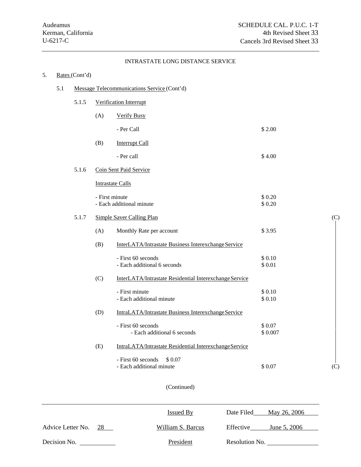# 5. Rates (Cont'd) 5.1 Message Telecommunications Service (Cont'd) 5.1.5 Verification Interrupt (A) Verify Busy  $-$  Per Call  $$ 2.00$ (B) Interrupt Call  $-$  Per call  $\$$  4.00 5.1.6 Coin Sent Paid Service Intrastate Calls  $-$  First minute  $\$0.20$ - Each additional minute  $$ 0.20$ 5.1.7 Simple Saver Calling Plan (C) (A) Monthly Rate per account \$ 3.95 (B) InterLATA/Intrastate Business Interexchange Service  $-$  First 60 seconds  $\$$  0.10 - Each additional 6 seconds  $$ 0.01$ (C) InterLATA/Intrastate Residential Interexchange Service  $-$  First minute  $\$0.10$ - Each additional minute  $$0.10$ (D) IntraLATA/Intrastate Business Interexchange Service  $-$  First 60 seconds  $\$$  0.07 - Each additional 6 seconds \$ 0.007 (E) IntraLATA/Intrastate Residential Interexchange Service  $-$  First 60 seconds  $$0.07$ - Each additional minute  $$ 0.07$  (C)

|                         | Issued By         | May 26, 2006<br>Date Filed |
|-------------------------|-------------------|----------------------------|
| Advice Letter No.<br>28 | William S. Barcus | Effective<br>June 5, 2006  |
| Decision No.            | President         | Resolution No.             |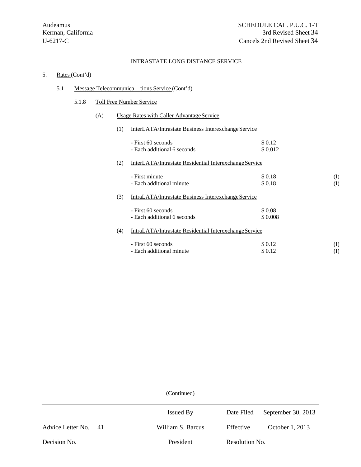# 5. Rates (Cont'd)

# 5.1 Message Telecommunica tions Service (Cont'd)

# 5.1.8 Toll Free Number Service

# (A) Usage Rates with Caller Advantage Service

| (1) | <b>InterLATA/Intrastate Business Interexchange Service</b> |         |     |
|-----|------------------------------------------------------------|---------|-----|
|     | - First 60 seconds                                         | \$0.12  |     |
|     | - Each additional 6 seconds                                | \$0.012 |     |
| (2) | InterLATA/Intrastate Residential Interexchange Service     |         |     |
|     | - First minute                                             | \$0.18  | (I) |
|     | - Each additional minute                                   | \$0.18  | (I) |
| (3) | IntraLATA/Intrastate Business Interexchange Service        |         |     |
|     | - First 60 seconds                                         | \$0.08  |     |
|     | - Each additional 6 seconds                                | \$0.008 |     |
| (4) | IntraLATA/Intrastate Residential Interexchange Service     |         |     |
|     | - First 60 seconds                                         | \$0.12  | (I) |
|     | - Each additional minute                                   | \$0.12  | (I) |

|                         | Issued By         | September 30, 2013<br>Date Filed |
|-------------------------|-------------------|----------------------------------|
| Advice Letter No.<br>41 | William S. Barcus | October 1, 2013<br>Effective     |
| Decision No.            | President         | Resolution No.                   |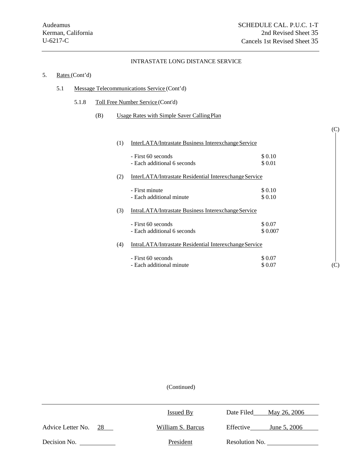(C)

# INTRASTATE LONG DISTANCE SERVICE

# 5. Rates (Cont'd)

- 5.1 Message Telecommunications Service (Cont'd)
	- 5.1.8 Toll Free Number Service (Cont'd)
		- (B) Usage Rates with Simple Saver Calling Plan

| (1) | InterLATA/Intrastate Business Interexchange Service    |                    |                                                     |
|-----|--------------------------------------------------------|--------------------|-----------------------------------------------------|
|     | - First 60 seconds<br>- Each additional 6 seconds      | \$0.10<br>\$0.01   |                                                     |
| (2) | InterLATA/Intrastate Residential Interexchange Service |                    |                                                     |
|     | - First minute<br>- Each additional minute             | \$0.10<br>\$0.10   |                                                     |
| (3) | IntraLATA/Intrastate Business Interexchange Service    |                    |                                                     |
|     | - First 60 seconds<br>- Each additional 6 seconds      | \$0.07<br>\$0.007  |                                                     |
| (4) | IntraLATA/Intrastate Residential InterexchangeService  |                    |                                                     |
|     | - First 60 seconds<br>- Each additional minute         | \$ 0.07<br>\$ 0.07 | $\left( \begin{array}{c} \cdot \end{array} \right)$ |

|                         | <b>Issued By</b>  | Date Filed<br>May 26, 2006 |
|-------------------------|-------------------|----------------------------|
| Advice Letter No.<br>28 | William S. Barcus | Effective<br>June 5, 2006  |
| Decision No.            | President         | Resolution No.             |
|                         |                   |                            |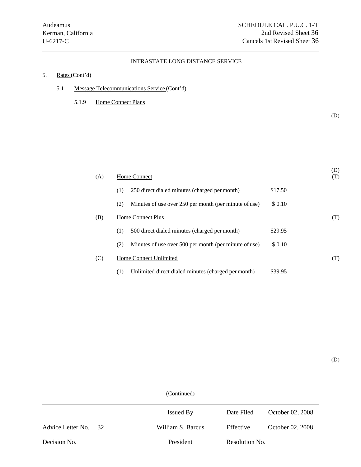# 5. Rates (Cont'd)

- 5.1 Message Telecommunications Service (Cont'd)
	- 5.1.9 Home Connect Plans

| (A) | Home Connect                                                 |         | (D)<br>(T) |
|-----|--------------------------------------------------------------|---------|------------|
|     | 250 direct dialed minutes (charged per month)<br>(1)         | \$17.50 |            |
|     | Minutes of use over 250 per month (per minute of use)<br>(2) | \$0.10  |            |
| (B) | <b>Home Connect Plus</b>                                     |         | (T)        |
|     | 500 direct dialed minutes (charged per month)<br>(1)         | \$29.95 |            |
|     | Minutes of use over 500 per month (per minute of use)<br>(2) | \$0.10  |            |
| (C) | Home Connect Unlimited                                       |         | (T)        |
|     | Unlimited direct dialed minutes (charged per month)<br>(1)   | \$39.95 |            |

(D)

(D)

(Continued)

|                         | Issued By         | October 02, 2008<br>Date Filed |
|-------------------------|-------------------|--------------------------------|
| Advice Letter No.<br>32 | William S. Barcus | October 02, 2008<br>Effective  |
| Decision No.            | President         | Resolution No.                 |